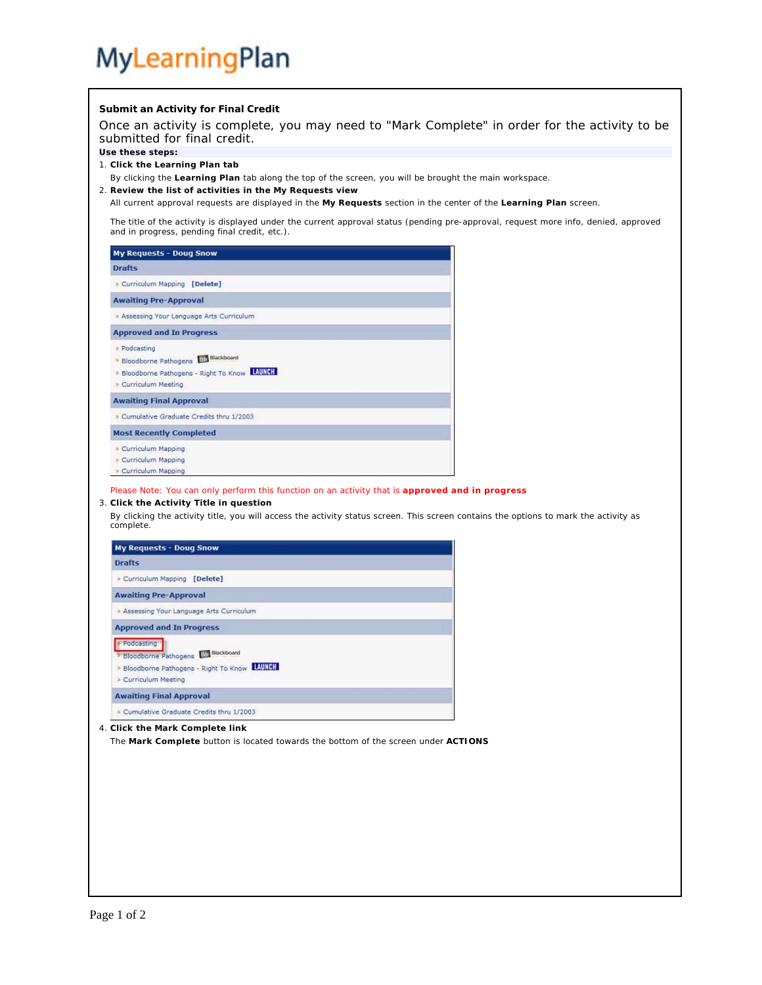## MyLearningPlan

**Submit an Activity for Final Credit** Once an activity is complete, you may need to "Mark Complete" in order for the activity to be submitted for final credit. **Use these steps:** 1. **Click the Learning Plan tab** By clicking the **Learning Plan** tab along the top of the screen, you will be brought the main workspace. 2. **Review the list of activities in the My Requests view** All current approval requests are displayed in the **My Requests** section in the center of the **Learning Plan** screen. The title of the activity is displayed under the current approval status (pending pre-approval, request more info, denied, approved and in progress, pending final credit, etc.). **My Requests - Doug Snow Drafts** > Curriculum Mapping [Delete] **Awaiting Pre-Approval** \* Assessing Your Language Arts Curriculum **Approved and In Progress** > Podcasting > Bloodborne Pathogens Ellen Blackboard \* Bloodborne Pathogens - Right To Know LAUNCH > Curriculum Meeting **Awaiting Final Approval** > Cumulative Graduate Credits thru 1/2003 **Most Recently Completed** > Curriculum Mapping Curriculum Mapping > Curriculum Mapping Please Note: You can only perform this function on an activity that is **approved and in progress** 3. **Click the Activity Title in question** By clicking the activity title, you will access the activity status screen. This screen contains the options to mark the activity as complete. **My Requests - Doug Snow Drafts** > Curriculum Mapping [Delete] **Awaiting Pre-Approval** > Assessing Your Language Arts Curriculum **Approved and In Progress** Podcasting > Bloodborne Pathogens Nin Blackboard > Bloodborne Pathogens - Right To Know **EAUNCH** > Curriculum Meeting **Awaiting Final Approval** > Cumulative Graduate Credits thru 1/2003 4. **Click the Mark Complete link** The **Mark Complete** button is located towards the bottom of the screen under **ACTIONS**